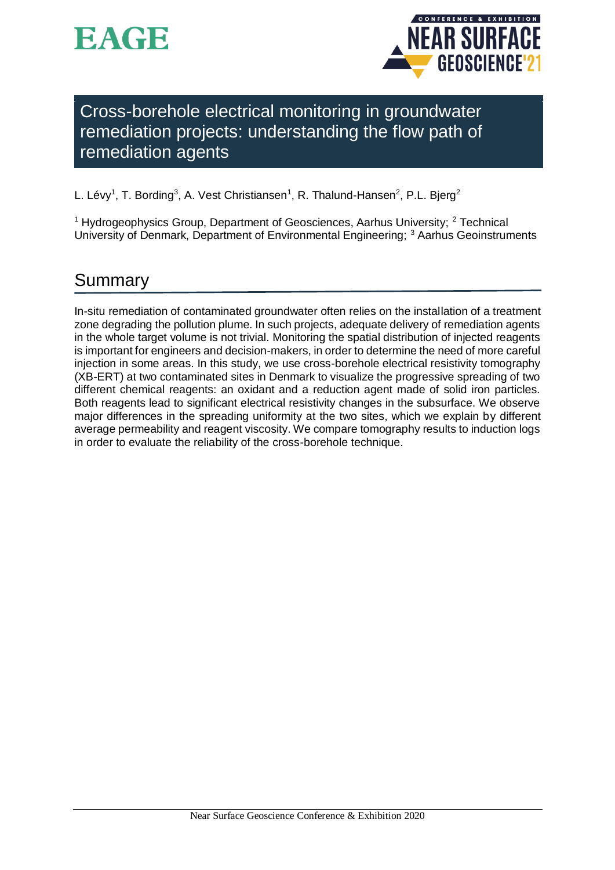



Cross-borehole electrical monitoring in groundwater remediation projects: understanding the flow path of remediation agents

L. Lévy<sup>1</sup>, T. Bording<sup>3</sup>, A. Vest Christiansen<sup>1</sup>, R. Thalund-Hansen<sup>2</sup>, P.L. Bjerg<sup>2</sup>

<sup>1</sup> Hydrogeophysics Group, Department of Geosciences, Aarhus University;  $2$  Technical University of Denmark, Department of Environmental Engineering; <sup>3</sup> Aarhus Geoinstruments

# Summary

In-situ remediation of contaminated groundwater often relies on the installation of a treatment zone degrading the pollution plume. In such projects, adequate delivery of remediation agents in the whole target volume is not trivial. Monitoring the spatial distribution of injected reagents is important for engineers and decision-makers, in order to determine the need of more careful injection in some areas. In this study, we use cross-borehole electrical resistivity tomography (XB-ERT) at two contaminated sites in Denmark to visualize the progressive spreading of two different chemical reagents: an oxidant and a reduction agent made of solid iron particles. Both reagents lead to significant electrical resistivity changes in the subsurface. We observe major differences in the spreading uniformity at the two sites, which we explain by different average permeability and reagent viscosity. We compare tomography results to induction logs in order to evaluate the reliability of the cross-borehole technique.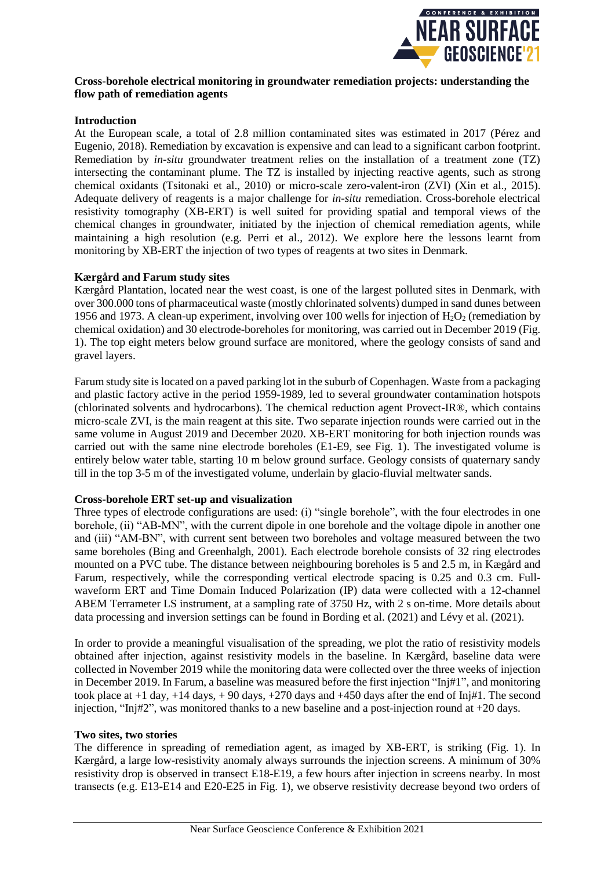

#### **Cross-borehole electrical monitoring in groundwater remediation projects: understanding the flow path of remediation agents**

### **Introduction**

At the European scale, a total of 2.8 million contaminated sites was estimated in 2017 (Pérez and Eugenio, 2018). Remediation by excavation is expensive and can lead to a significant carbon footprint. Remediation by *in-situ* groundwater treatment relies on the installation of a treatment zone (TZ) intersecting the contaminant plume. The TZ is installed by injecting reactive agents, such as strong chemical oxidants (Tsitonaki et al., 2010) or micro-scale zero-valent-iron (ZVI) (Xin et al., 2015). Adequate delivery of reagents is a major challenge for *in-situ* remediation. Cross-borehole electrical resistivity tomography (XB-ERT) is well suited for providing spatial and temporal views of the chemical changes in groundwater, initiated by the injection of chemical remediation agents, while maintaining a high resolution (e.g. Perri et al., 2012). We explore here the lessons learnt from monitoring by XB-ERT the injection of two types of reagents at two sites in Denmark.

#### **Kærgård and Farum study sites**

Kærgård Plantation, located near the west coast, is one of the largest polluted sites in Denmark, with over 300.000 tons of pharmaceutical waste (mostly chlorinated solvents) dumped in sand dunes between 1956 and 1973. A clean-up experiment, involving over 100 wells for injection of  $H_2O_2$  (remediation by chemical oxidation) and 30 electrode-boreholes for monitoring, was carried out in December 2019 (Fig. 1). The top eight meters below ground surface are monitored, where the geology consists of sand and gravel layers.

Farum study site is located on a paved parking lot in the suburb of Copenhagen. Waste from a packaging and plastic factory active in the period 1959-1989, led to several groundwater contamination hotspots (chlorinated solvents and hydrocarbons). The chemical reduction agent Provect-IR®, which contains micro-scale ZVI, is the main reagent at this site. Two separate injection rounds were carried out in the same volume in August 2019 and December 2020. XB-ERT monitoring for both injection rounds was carried out with the same nine electrode boreholes (E1-E9, see Fig. 1). The investigated volume is entirely below water table, starting 10 m below ground surface. Geology consists of quaternary sandy till in the top 3-5 m of the investigated volume, underlain by glacio-fluvial meltwater sands.

#### **Cross-borehole ERT set-up and visualization**

Three types of electrode configurations are used: (i) "single borehole", with the four electrodes in one borehole, (ii) "AB-MN", with the current dipole in one borehole and the voltage dipole in another one and (iii) "AM-BN", with current sent between two boreholes and voltage measured between the two same boreholes (Bing and Greenhalgh, 2001). Each electrode borehole consists of 32 ring electrodes mounted on a PVC tube. The distance between neighbouring boreholes is 5 and 2.5 m, in Kægård and Farum, respectively, while the corresponding vertical electrode spacing is 0.25 and 0.3 cm. Fullwaveform ERT and Time Domain Induced Polarization (IP) data were collected with a 12-channel ABEM Terrameter LS instrument, at a sampling rate of 3750 Hz, with 2 s on-time. More details about data processing and inversion settings can be found in Bording et al. (2021) and Lévy et al. (2021).

In order to provide a meaningful visualisation of the spreading, we plot the ratio of resistivity models obtained after injection, against resistivity models in the baseline. In Kærgård, baseline data were collected in November 2019 while the monitoring data were collected over the three weeks of injection in December 2019. In Farum, a baseline was measured before the first injection "Inj#1", and monitoring took place at +1 day, +14 days, + 90 days, +270 days and +450 days after the end of Inj#1. The second injection, "Inj#2", was monitored thanks to a new baseline and a post-injection round at +20 days.

#### **Two sites, two stories**

The difference in spreading of remediation agent, as imaged by XB-ERT, is striking (Fig. 1). In Kærgård, a large low-resistivity anomaly always surrounds the injection screens. A minimum of 30% resistivity drop is observed in transect E18-E19, a few hours after injection in screens nearby. In most transects (e.g. E13-E14 and E20-E25 in Fig. 1), we observe resistivity decrease beyond two orders of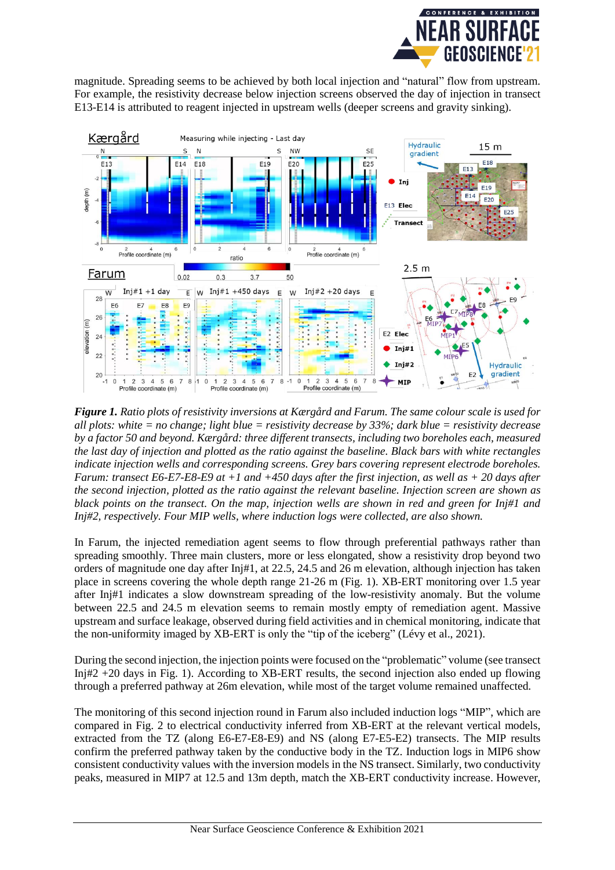

magnitude. Spreading seems to be achieved by both local injection and "natural" flow from upstream. For example, the resistivity decrease below injection screens observed the day of injection in transect E13-E14 is attributed to reagent injected in upstream wells (deeper screens and gravity sinking).



*Figure 1. Ratio plots of resistivity inversions at Kærgård and Farum. The same colour scale is used for all plots: white = no change; light blue = resistivity decrease by 33%; dark blue = resistivity decrease by a factor 50 and beyond. Kærgård: three different transects, including two boreholes each, measured the last day of injection and plotted as the ratio against the baseline. Black bars with white rectangles indicate injection wells and corresponding screens. Grey bars covering represent electrode boreholes. Farum: transect E6-E7-E8-E9 at +1 and +450 days after the first injection, as well as + 20 days after the second injection, plotted as the ratio against the relevant baseline. Injection screen are shown as black points on the transect. On the map, injection wells are shown in red and green for Inj#1 and Inj#2, respectively. Four MIP wells, where induction logs were collected, are also shown.*

In Farum, the injected remediation agent seems to flow through preferential pathways rather than spreading smoothly. Three main clusters, more or less elongated, show a resistivity drop beyond two orders of magnitude one day after Inj#1, at 22.5, 24.5 and 26 m elevation, although injection has taken place in screens covering the whole depth range 21-26 m (Fig. 1). XB-ERT monitoring over 1.5 year after Inj#1 indicates a slow downstream spreading of the low-resistivity anomaly. But the volume between 22.5 and 24.5 m elevation seems to remain mostly empty of remediation agent. Massive upstream and surface leakage, observed during field activities and in chemical monitoring, indicate that the non-uniformity imaged by XB-ERT is only the "tip of the iceberg" (Lévy et al., 2021).

During the second injection, the injection points were focused on the "problematic" volume (see transect Inj#2 +20 days in Fig. 1). According to XB-ERT results, the second injection also ended up flowing through a preferred pathway at 26m elevation, while most of the target volume remained unaffected.

The monitoring of this second injection round in Farum also included induction logs "MIP", which are compared in Fig. 2 to electrical conductivity inferred from XB-ERT at the relevant vertical models, extracted from the TZ (along E6-E7-E8-E9) and NS (along E7-E5-E2) transects. The MIP results confirm the preferred pathway taken by the conductive body in the TZ. Induction logs in MIP6 show consistent conductivity values with the inversion models in the NS transect. Similarly, two conductivity peaks, measured in MIP7 at 12.5 and 13m depth, match the XB-ERT conductivity increase. However,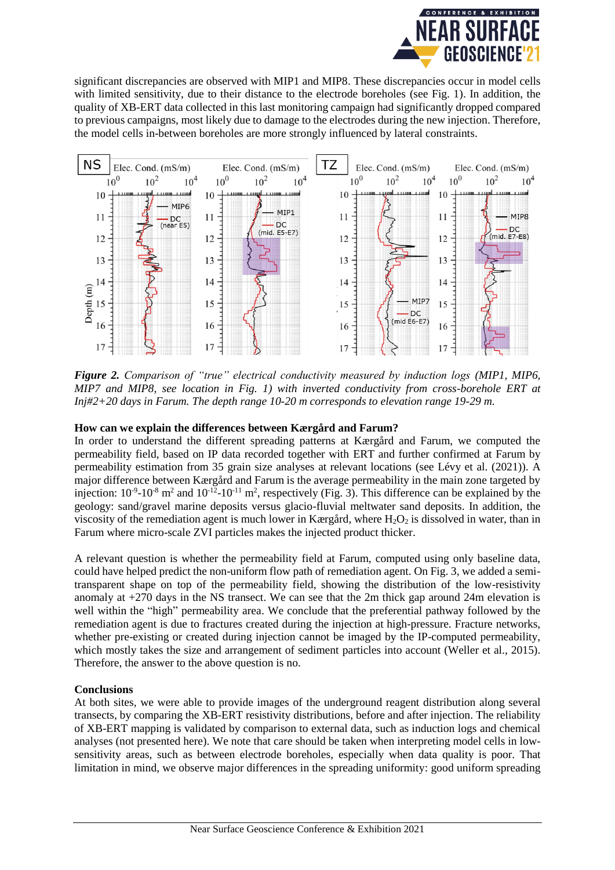

significant discrepancies are observed with MIP1 and MIP8. These discrepancies occur in model cells with limited sensitivity, due to their distance to the electrode boreholes (see Fig. 1). In addition, the quality of XB-ERT data collected in this last monitoring campaign had significantly dropped compared to previous campaigns, most likely due to damage to the electrodes during the new injection. Therefore, the model cells in-between boreholes are more strongly influenced by lateral constraints.



*Figure 2. Comparison of "true" electrical conductivity measured by induction logs (MIP1, MIP6, MIP7 and MIP8, see location in Fig. 1) with inverted conductivity from cross-borehole ERT at Inj#2+20 days in Farum. The depth range 10-20 m corresponds to elevation range 19-29 m.*

## **How can we explain the differences between Kærgård and Farum?**

In order to understand the different spreading patterns at Kærgård and Farum, we computed the permeability field, based on IP data recorded together with ERT and further confirmed at Farum by permeability estimation from 35 grain size analyses at relevant locations (see Lévy et al. (2021)). A major difference between Kærgård and Farum is the average permeability in the main zone targeted by injection:  $10^{-9}$ - $10^{-8}$  m<sup>2</sup> and  $10^{-12}$ - $10^{-11}$  m<sup>2</sup>, respectively (Fig. 3). This difference can be explained by the geology: sand/gravel marine deposits versus glacio-fluvial meltwater sand deposits. In addition, the viscosity of the remediation agent is much lower in Kærgård, where  $H_2O_2$  is dissolved in water, than in Farum where micro-scale ZVI particles makes the injected product thicker.

A relevant question is whether the permeability field at Farum, computed using only baseline data, could have helped predict the non-uniform flow path of remediation agent. On Fig. 3, we added a semitransparent shape on top of the permeability field, showing the distribution of the low-resistivity anomaly at +270 days in the NS transect. We can see that the 2m thick gap around 24m elevation is well within the "high" permeability area. We conclude that the preferential pathway followed by the remediation agent is due to fractures created during the injection at high-pressure. Fracture networks, whether pre-existing or created during injection cannot be imaged by the IP-computed permeability, which mostly takes the size and arrangement of sediment particles into account (Weller et al., 2015). Therefore, the answer to the above question is no.

#### **Conclusions**

At both sites, we were able to provide images of the underground reagent distribution along several transects, by comparing the XB-ERT resistivity distributions, before and after injection. The reliability of XB-ERT mapping is validated by comparison to external data, such as induction logs and chemical analyses (not presented here). We note that care should be taken when interpreting model cells in lowsensitivity areas, such as between electrode boreholes, especially when data quality is poor. That limitation in mind, we observe major differences in the spreading uniformity: good uniform spreading